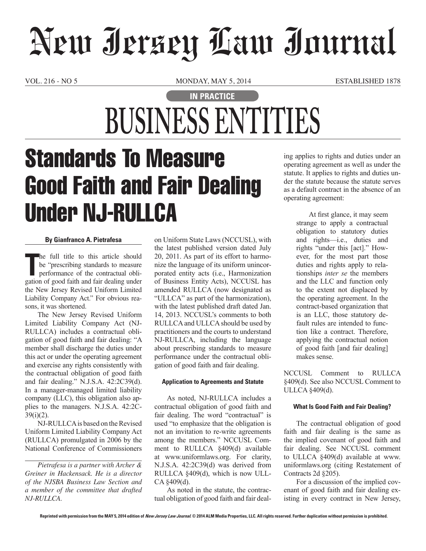# New Jersey Law Journal

VOL. 216 - NO 5 MONDAY, MAY 5, 2014 ESTABLISHED 1878

# **IN PRACTICE BUSINESS ENTITIES**

# Standards To Measure Good Faith and Fair Dealing Under NJ-RULLCA

### **By Gianfranco A. Pietrafesa**

The full title to this article should<br>be "prescribing standards to measure<br>performance of the contractual obli-<br>gation of good faith and fair dealing under he full title to this article should be "prescribing standards to measure performance of the contractual oblithe New Jersey Revised Uniform Limited Liability Company Act." For obvious reasons, it was shortened.

The New Jersey Revised Uniform Limited Liability Company Act (NJ-RULLCA) includes a contractual obligation of good faith and fair dealing: "A member shall discharge the duties under this act or under the operating agreement and exercise any rights consistently with the contractual obligation of good faith and fair dealing." N.J.S.A. 42:2C39(d). In a manager-managed limited liability company (LLC), this obligation also applies to the managers. N.J.S.A. 42:2C-39(i)(2).

NJ-RULLCA is based on the Revised Uniform Limited Liability Company Act (RULLCA) promulgated in 2006 by the National Conference of Commissioners

on Uniform State Laws (NCCUSL), with the latest published version dated July 20, 2011. As part of its effort to harmonize the language of its uniform unincorporated entity acts (i.e., Harmonization of Business Entity Acts), NCCUSL has amended RULLCA (now designated as "ULLCA" as part of the harmonization), with the latest published draft dated Jan. 14, 2013. NCCUSL's comments to both RULLCA and ULLCA should be used by practitioners and the courts to understand NJ-RULLCA, including the language about prescribing standards to measure performance under the contractual obligation of good faith and fair dealing.

### **Application to Agreements and Statute**

As noted, NJ-RULLCA includes a contractual obligation of good faith and fair dealing. The word "contractual" is used "to emphasize that the obligation is not an invitation to re-write agreements among the members." NCCUSL Comment to RULLCA §409(d) available at www.uniformlaws.org. For clarity, N.J.S.A. 42:2C39(d) was derived from RULLCA §409(d), which is now ULL-CA §409(d).

As noted in the statute, the contractual obligation of good faith and fair dealing applies to rights and duties under an operating agreement as well as under the statute. It applies to rights and duties under the statute because the statute serves as a default contract in the absence of an operating agreement:

> At first glance, it may seem strange to apply a contractual obligation to statutory duties and rights—i.e., duties and rights "under this [act]." However, for the most part those duties and rights apply to relationships *inter se* the members and the LLC and function only to the extent not displaced by the operating agreement. In the contract-based organization that is an LLC, those statutory default rules are intended to function like a contract. Therefore, applying the contractual notion of good faith [and fair dealing] makes sense.

NCCUSL Comment to RULLCA §409(d). See also NCCUSL Comment to ULLCA §409(d).

### **What Is Good Faith and Fair Dealing?**

The contractual obligation of good faith and fair dealing is the same as the implied covenant of good faith and fair dealing. See NCCUSL comment to ULLCA §409(d) available at www. uniformlaws.org (citing Restatement of Contracts 2d §205).

For a discussion of the implied covenant of good faith and fair dealing existing in every contract in New Jersey,

*Pietrafesa is a partner with Archer & Greiner in Hackensack. He is a director of the NJSBA Business Law Section and a member of the committee that drafted NJ-RULLCA.*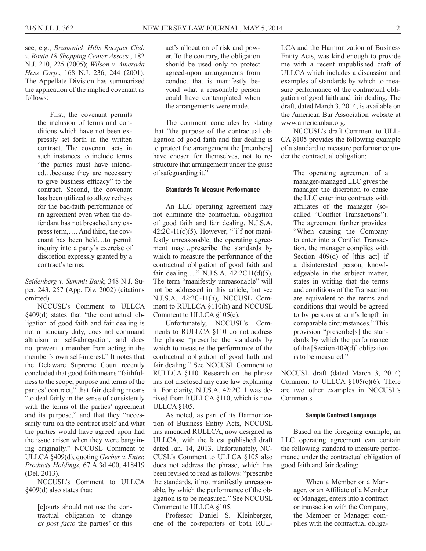see, e.g., *Brunswick Hills Racquet Club v. Route 18 Shopping Center Assocs.*, 182 N.J. 210, 225 (2005); *Wilson v. Amerada Hess Corp*., 168 N.J. 236, 244 (2001). The Appellate Division has summarized the application of the implied covenant as follows:

> First, the covenant permits the inclusion of terms and conditions which have not been expressly set forth in the written contract. The covenant acts in such instances to include terms "the parties must have intended…because they are necessary to give business efficacy" to the contract. Second, the covenant has been utilized to allow redress for the bad-faith performance of an agreement even when the defendant has not breached any express term,…. And third, the covenant has been held…to permit inquiry into a party's exercise of discretion expressly granted by a contract's terms.

*Seidenberg v. Summit Bank*, 348 N.J. Super. 243, 257 (App. Div. 2002) (citations omitted).

NCCUSL's Comment to ULLCA §409(d) states that "the contractual obligation of good faith and fair dealing is not a fiduciary duty, does not command altruism or self-abnegation, and does not prevent a member from acting in the member's own self-interest." It notes that the Delaware Supreme Court recently concluded that good faith means "faithfulness to the scope, purpose and terms of the parties' contract," that fair dealing means "to deal fairly in the sense of consistently with the terms of the parties' agreement and its purpose," and that they "necessarily turn on the contract itself and what the parties would have agreed upon had the issue arisen when they were bargaining originally." NCCUSL Comment to ULLCA §409(d), quoting *Gerber v. Enter. Products Holdings*, 67 A.3d 400, 418419 (Del. 2013).

NCCUSL's Comment to ULLCA §409(d) also states that:

[c]ourts should not use the contractual obligation to change *ex post facto* the parties' or this

act's allocation of risk and power. To the contrary, the obligation should be used only to protect agreed-upon arrangements from conduct that is manifestly beyond what a reasonable person could have contemplated when the arrangements were made.

The comment concludes by stating that "the purpose of the contractual obligation of good faith and fair dealing is to protect the arrangement the [members] have chosen for themselves, not to restructure that arrangement under the guise of safeguarding it."

#### **Standards To Measure Performance**

An LLC operating agreement may not eliminate the contractual obligation of good faith and fair dealing. N.J.S.A.  $42:2C-11(c)(5)$ . However, "[i]f not manifestly unreasonable, the operating agreement may…prescribe the standards by which to measure the performance of the contractual obligation of good faith and fair dealing…." N.J.S.A. 42:2C11(d)(5). The term "manifestly unreasonable" will not be addressed in this article, but see N.J.S.A. 42:2C-11(h), NCCUSL Comment to RULLCA §110(h) and NCCUSL Comment to ULLCA §105(e).

Unfortunately, NCCUSL's Comments to RULLCA §110 do not address the phrase "prescribe the standards by which to measure the performance of the contractual obligation of good faith and fair dealing." See NCCUSL Comment to RULLCA §110. Research on the phrase has not disclosed any case law explaining it. For clarity, N.J.S.A. 42:2C11 was derived from RULLCA §110, which is now ULLCA §105.

As noted, as part of its Harmonization of Business Entity Acts, NCCUSL has amended RULLCA, now designed as ULLCA, with the latest published draft dated Jan. 14, 2013. Unfortunately, NC-CUSL's Comment to ULLCA §105 also does not address the phrase, which has been revised to read as follows: "prescribe the standards, if not manifestly unreasonable, by which the performance of the obligation is to be measured." See NCCUSL Comment to ULLCA §105.

Professor Daniel S. Kleinberger, one of the co-reporters of both RUL-

LCA and the Harmonization of Business Entity Acts, was kind enough to provide me with a recent unpublished draft of ULLCA which includes a discussion and examples of standards by which to measure performance of the contractual obligation of good faith and fair dealing. The draft, dated March 3, 2014, is available on the American Bar Association website at www.americanbar.org.

NCCUSL's draft Comment to ULL-CA §105 provides the following example of a standard to measure performance under the contractual obligation:

> The operating agreement of a manager-managed LLC gives the manager the discretion to cause the LLC enter into contracts with affiliates of the manager (socalled "Conflict Transactions"). The agreement further provides: "When causing the Company to enter into a Conflict Transaction, the manager complies with Section 409(d) of [this act] if a disinterested person, knowledgeable in the subject matter, states in writing that the terms and conditions of the Transaction are equivalent to the terms and conditions that would be agreed to by persons at arm's length in comparable circumstances." This provision "prescribe[s] the standards by which the performance of the [Section 409(d)] obligation is to be measured."

NCCUSL draft (dated March 3, 2014) Comment to ULLCA  $$105(c)(6)$ . There are two other examples in NCCUSL's Comments.

#### **Sample Contract Language**

Based on the foregoing example, an LLC operating agreement can contain the following standard to measure performance under the contractual obligation of good faith and fair dealing:

> When a Member or a Manager, or an Affiliate of a Member or Manager, enters into a contract or transaction with the Company, the Member or Manager complies with the contractual obliga